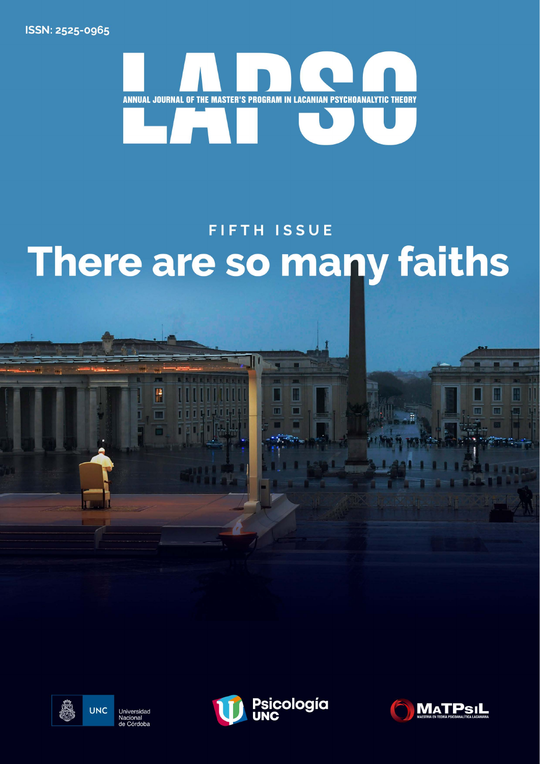ISSN: 2525-0965



## **FIFTH ISSUE** There are so many faiths



P



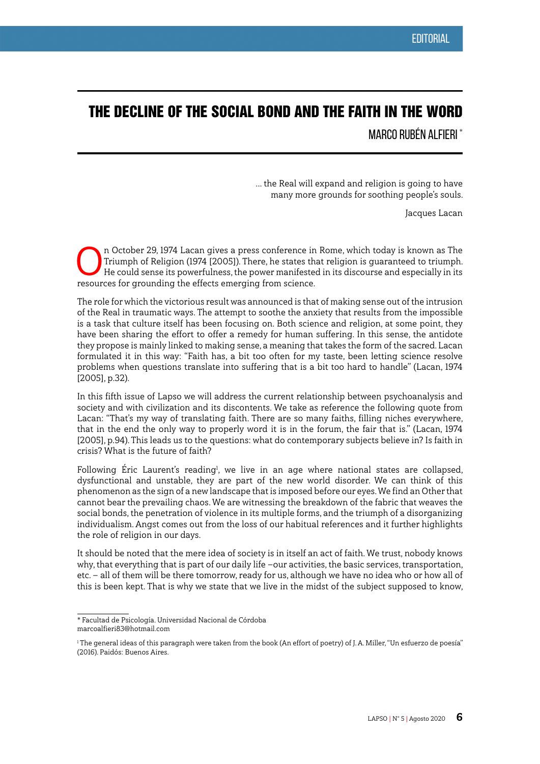## THE DECLINE OF THE SOCIAL BOND AND THE FAITH IN THE WORD

MARCO RUBÉN ALFIERI \*

... the Real will expand and religion is going to have many more grounds for soothing people's souls.

Jacques Lacan

In October 29, 1974 Lacan gives a press conference in Rome, which today is known as The<br>Triumph of Religion (1974 [2005]). There, he states that religion is guaranteed to triumph.<br>He could sense its powerfulness, the power Triumph of Religion (1974 [2005]). There, he states that religion is guaranteed to triumph. He could sense its powerfulness, the power manifested in its discourse and especially in its resources for grounding the effects emerging from science.

The role for which the victorious result was announced is that of making sense out of the intrusion of the Real in traumatic ways. The attempt to soothe the anxiety that results from the impossible is a task that culture itself has been focusing on. Both science and religion, at some point, they have been sharing the effort to offer a remedy for human suffering. In this sense, the antidote they propose is mainly linked to making sense, a meaning that takes the form of the sacred. Lacan formulated it in this way: "Faith has, a bit too often for my taste, been letting science resolve problems when questions translate into suffering that is a bit too hard to handle" (Lacan, 1974 [2005], p.32).

In this fifth issue of Lapso we will address the current relationship between psychoanalysis and society and with civilization and its discontents. We take as reference the following quote from Lacan: "That's my way of translating faith. There are so many faiths, filling niches everywhere, that in the end the only way to properly word it is in the forum, the fair that is." (Lacan, 1974 [2005], p.94). This leads us to the questions: what do contemporary subjects believe in? Is faith in crisis? What is the future of faith?

Following Eric Laurent's reading<sup>1</sup>, we live in an age where national states are collapsed, dysfunctional and unstable, they are part of the new world disorder. We can think of this phenomenon as the sign of a new landscape that is imposed before our eyes. We find an Other that cannot bear the prevailing chaos. We are witnessing the breakdown of the fabric that weaves the social bonds, the penetration of violence in its multiple forms, and the triumph of a disorganizing individualism. Angst comes out from the loss of our habitual references and it further highlights the role of religion in our days.

It should be noted that the mere idea of society is in itself an act of faith. We trust, nobody knows why, that everything that is part of our daily life —our activities, the basic services, transportation, etc. — all of them will be there tomorrow, ready for us, although we have no idea who or how all of this is been kept. That is why we state that we live in the midst of the subject supposed to know,

<sup>\*</sup> Facultad de Psicología. Universidad Nacional de Córdoba marcoalfieri83@hotmail.com

<sup>&</sup>lt;sup>1</sup> The general ideas of this paragraph were taken from the book (An effort of poetry) of J.A. Miller, "Un esfuerzo de poesía" (2016). Paidós: Buenos Aires.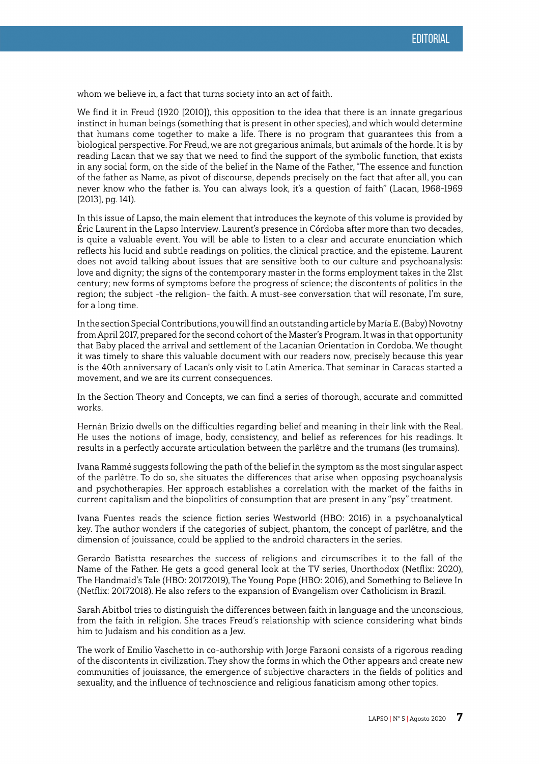whom we believe in, a fact that turns society into an act of faith.

We find it in Freud (1920 [2010]), this opposition to the idea that there is an innate gregarious instinct in human beings (something that is present in other species), and which would determine that humans come together to make a life. There is no program that guarantees this from a biological perspective. For Freud, we are not gregarious animals, but animals of the horde. It is by reading Lacan that we say that we need to find the support of the symbolic function, that exists in any social form, on the side of the belief in the Name of the Father, "The essence and function of the father as Name, as pivot of discourse, depends precisely on the fact that after all, you can never know who the father is. You can always look, it's a question of faith" (Lacan, 1968-1969 [2013], pg. 141).

In this issue of Lapso, the main element that introduces the keynote of this volume is provided by Éric Laurent in the Lapso Interview. Laurent's presence in Córdoba after more than two decades, is quite a valuable event. You will be able to listen to a clear and accurate enunciation which reflects his lucid and subtle readings on politics, the clinical practice, and the episteme. Laurent does not avoid talking about issues that are sensitive both to our culture and psychoanalysis: love and dignity; the signs of the contemporary master in the forms employment takes in the 21st century; new forms of symptoms before the progress of science; the discontents of politics in the region; the subject -the religion- the faith. A must-see conversation that will resonate, I'm sure, for a long time.

In the section Special Contributions, you will find an outstanding article by MaríaE. (Baby)Novotny from April 2017, prepared for the second cohort of the Master's Program. It was in that opportunity that Baby placed the arrival and settlement of the Lacanian Orientation in Cordoba. We thought it was timely to share this valuable document with our readers now, precisely because this year is the 40th anniversary of Lacan's only visit to Latin America. That seminar in Caracas started a movement, and we are its current consequences.

In the Section Theory and Concepts, we can find a series of thorough, accurate and committed works.

Hernán Brizio dwells on the difficulties regarding belief and meaning in their link with the Real. He uses the notions of image, body, consistency, and belief as references for his readings. It results in a perfectly accurate articulation between the parlêtre and the trumans (les trumains).

Ivana Rammé suggests following the path of the belief in the symptom as the most singular aspect of the parlêtre. To do so, she situates the differences that arise when opposing psychoanalysis and psychotherapies. Her approach establishes a correlation with the market of the faiths in current capitalism and the biopolitics of consumption that are present in any "psy" treatment.

Ivana Fuentes reads the science fiction series Westworld (HBO: 2016) in a psychoanalytical key. The author wonders if the categories of subject, phantom, the concept of parlêtre, and the dimension of jouissance, could be applied to the android characters in the series.

Gerardo Batistta researches the success of religions and circumscribes it to the fall of the Name of the Father. He gets a good general look at the TV series, Unorthodox (Netflix: 2020), The Handmaid's Tale (HBO: 20172019), The Young Pope (HBO: 2016), and Something to Believe In (Netflix: 20172018). He also refers to the expansion of Evangelism over Catholicism in Brazil.

Sarah Abitbol tries to distinguish the differences between faith in language and the unconscious, from the faith in religion. She traces Freud's relationship with science considering what binds him to Judaism and his condition as a Jew.

The work of Emilio Vaschetto in co-authorship with Jorge Faraoni consists of a rigorous reading of the discontents in civilization. They show the forms in which the Other appears and create new communities of jouissance, the emergence of subjective characters in the fields of politics and sexuality, and the influence of technoscience and religious fanaticism among other topics.